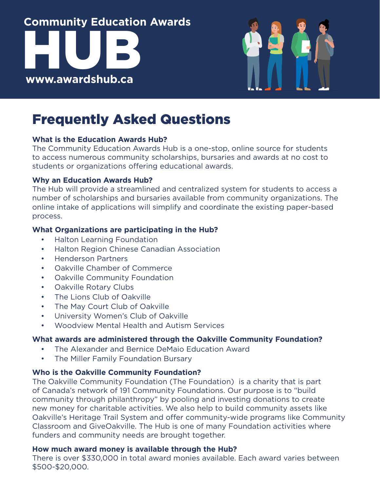

### Frequently Asked Questions

#### **What is the Education Awards Hub?**

The Community Education Awards Hub is a one-stop, online source for students to access numerous community scholarships, bursaries and awards at no cost to students or organizations offering educational awards.

#### **Why an Education Awards Hub?**

The Hub will provide a streamlined and centralized system for students to access a number of scholarships and bursaries available from community organizations. The online intake of applications will simplify and coordinate the existing paper-based process.

#### **What Organizations are participating in the Hub?**

- Halton Learning Foundation
- Halton Region Chinese Canadian Association
- Henderson Partners
- Oakville Chamber of Commerce
- Oakville Community Foundation
- Oakville Rotary Clubs
- The Lions Club of Oakville
- The May Court Club of Oakville
- University Women's Club of Oakville
- Woodview Mental Health and Autism Services

#### **What awards are administered through the Oakville Community Foundation?**

- The Alexander and Bernice DeMaio Education Award
- The Miller Family Foundation Bursary

#### **Who is the Oakville Community Foundation?**

The Oakville Community Foundation (The Foundation) is a charity that is part of Canada's network of 191 Community Foundations. Our purpose is to "build community through philanthropy" by pooling and investing donations to create new money for charitable activities. We also help to build community assets like Oakville's Heritage Trail System and offer community-wide programs like Community Classroom and GiveOakville. The Hub is one of many Foundation activities where funders and community needs are brought together.

#### **How much award money is available through the Hub?**

There is over \$330,000 in total award monies available. Each award varies between \$500-\$20,000.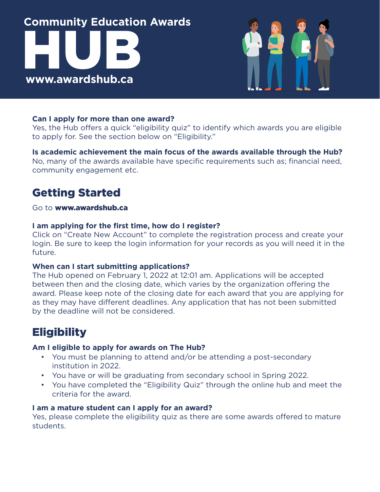

#### **Can I apply for more than one award?**

Yes, the Hub offers a quick "eligibility quiz" to identify which awards you are eligible to apply for. See the section below on "Eligibility."

#### **Is academic achievement the main focus of the awards available through the Hub?** No, many of the awards available have specific requirements such as; financial need, community engagement etc.

### Getting Started

#### Go to [www.awardshub.ca](http://www.awardshub.ca )

#### **I am applying for the first time, how do I register?**

Click on "Create New Account" to complete the registration process and create your login. Be sure to keep the login information for your records as you will need it in the future.

#### **When can I start submitting applications?**

The Hub opened on February 1, 2022 at 12:01 am. Applications will be accepted between then and the closing date, which varies by the organization offering the award. Please keep note of the closing date for each award that you are applying for as they may have different deadlines. Any application that has not been submitted by the deadline will not be considered.

### **Eligibility**

#### **Am I eligible to apply for awards on The Hub?**

- You must be planning to attend and/or be attending a post-secondary institution in 2022.
- You have or will be graduating from secondary school in Spring 2022.
- You have completed the "Eligibility Quiz" through the online hub and meet the criteria for the award.

#### **I am a mature student can I apply for an award?**

Yes, please complete the eligibility quiz as there are some awards offered to mature students.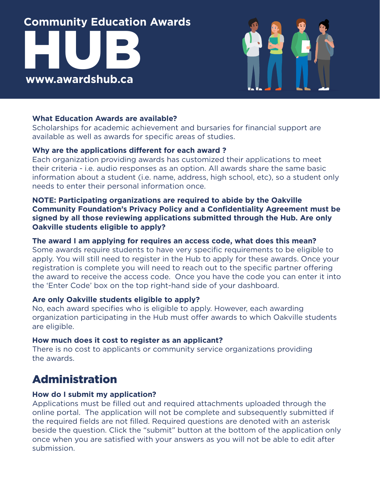

#### **What Education Awards are available?**

Scholarships for academic achievement and bursaries for financial support are available as well as awards for specific areas of studies.

#### **Why are the applications different for each award ?**

Each organization providing awards has customized their applications to meet their criteria - i.e. audio responses as an option. All awards share the same basic information about a student (i.e. name, address, high school, etc), so a student only needs to enter their personal information once.

#### **NOTE: Participating organizations are required to abide by the Oakville Community Foundation's Privacy Policy and a Confidentiality Agreement must be signed by all those reviewing applications submitted through the Hub. Are only Oakville students eligible to apply?**

#### **The award I am applying for requires an access code, what does this mean?**

Some awards require students to have very specific requirements to be eligible to apply. You will still need to register in the Hub to apply for these awards. Once your registration is complete you will need to reach out to the specific partner offering the award to receive the access code. Once you have the code you can enter it into the 'Enter Code' box on the top right-hand side of your dashboard.

#### **Are only Oakville students eligible to apply?**

No, each award specifies who is eligible to apply. However, each awarding organization participating in the Hub must offer awards to which Oakville students are eligible.

#### **How much does it cost to register as an applicant?**

There is no cost to applicants or community service organizations providing the awards.

### Administration

#### **How do I submit my application?**

Applications must be filled out and required attachments uploaded through the online portal. The application will not be complete and subsequently submitted if the required fields are not filled. Required questions are denoted with an asterisk beside the question. Click the "submit" button at the bottom of the application only once when you are satisfied with your answers as you will not be able to edit after submission.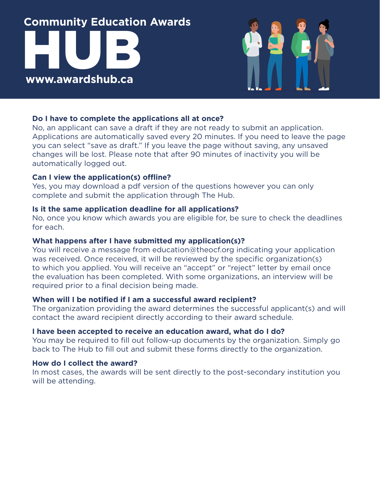

#### **Do I have to complete the applications all at once?**

No, an applicant can save a draft if they are not ready to submit an application. Applications are automatically saved every 20 minutes. If you need to leave the page you can select "save as draft." If you leave the page without saving, any unsaved changes will be lost. Please note that after 90 minutes of inactivity you will be automatically logged out.

#### **Can I view the application(s) offline?**

Yes, you may download a pdf version of the questions however you can only complete and submit the application through The Hub.

#### **Is it the same application deadline for all applications?**

No, once you know which awards you are eligible for, be sure to check the deadlines for each.

#### **What happens after I have submitted my application(s)?**

You will receive a message from education@theocf.org indicating your application was received. Once received, it will be reviewed by the specific organization(s) to which you applied. You will receive an "accept" or "reject" letter by email once the evaluation has been completed. With some organizations, an interview will be required prior to a final decision being made.

#### **When will I be notified if I am a successful award recipient?**

The organization providing the award determines the successful applicant(s) and will contact the award recipient directly according to their award schedule.

#### **I have been accepted to receive an education award, what do I do?**

You may be required to fill out follow-up documents by the organization. Simply go back to The Hub to fill out and submit these forms directly to the organization.

#### **How do I collect the award?**

In most cases, the awards will be sent directly to the post-secondary institution you will be attending.